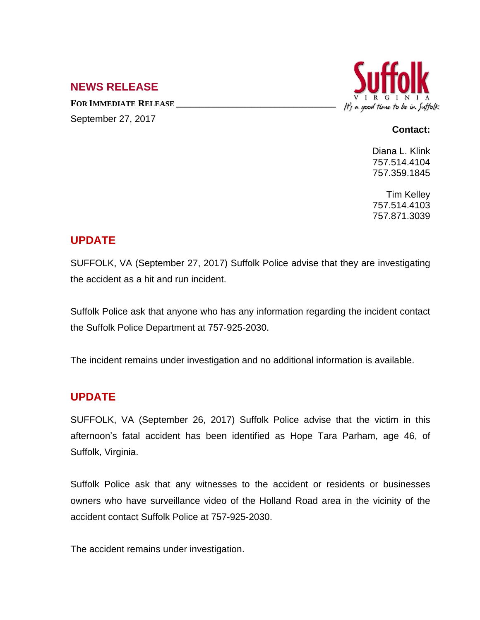### **NEWS RELEASE**

**FOR IMMEDIATE RELEASE \_\_\_\_\_\_\_\_\_\_\_\_\_\_\_\_\_\_\_\_\_\_\_\_\_\_\_\_\_\_\_\_\_\_**



### September 27, 2017

#### **Contact:**

Diana L. Klink 757.514.4104 757.359.1845

Tim Kelley 757.514.4103 757.871.3039

# **UPDATE**

SUFFOLK, VA (September 27, 2017) Suffolk Police advise that they are investigating the accident as a hit and run incident.

Suffolk Police ask that anyone who has any information regarding the incident contact the Suffolk Police Department at 757-925-2030.

The incident remains under investigation and no additional information is available.

## **UPDATE**

SUFFOLK, VA (September 26, 2017) Suffolk Police advise that the victim in this afternoon's fatal accident has been identified as Hope Tara Parham, age 46, of Suffolk, Virginia.

Suffolk Police ask that any witnesses to the accident or residents or businesses owners who have surveillance video of the Holland Road area in the vicinity of the accident contact Suffolk Police at 757-925-2030.

The accident remains under investigation.